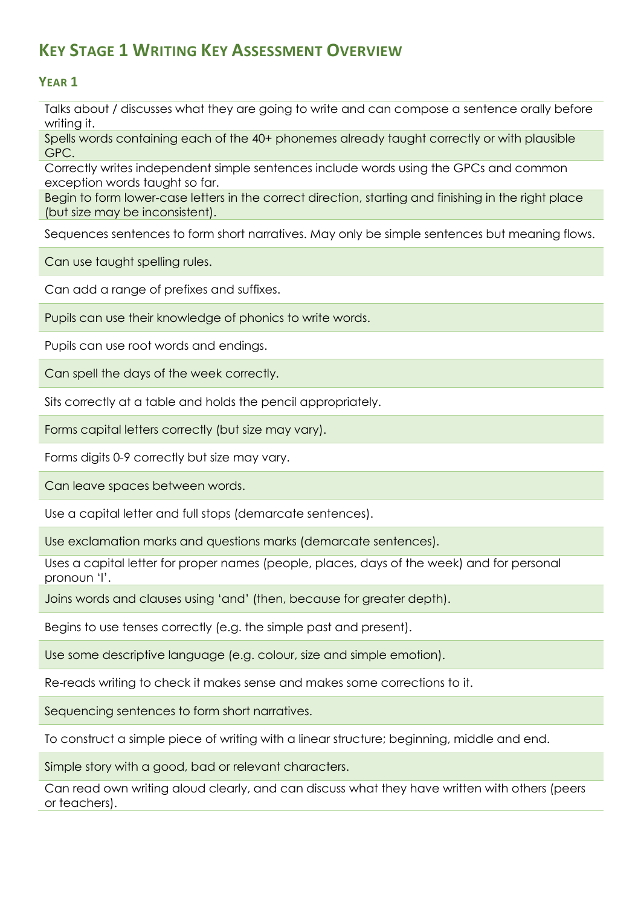## **KEY STAGE 1 WRITING KEY ASSESSMENT OVERVIEW**

## **YEAR 1**

Talks about / discusses what they are going to write and can compose a sentence orally before writing it.

Spells words containing each of the 40+ phonemes already taught correctly or with plausible GPC.

Correctly writes independent simple sentences include words using the GPCs and common exception words taught so far.

Begin to form lower-case letters in the correct direction, starting and finishing in the right place (but size may be inconsistent).

Sequences sentences to form short narratives. May only be simple sentences but meaning flows.

Can use taught spelling rules.

Can add a range of prefixes and suffixes.

Pupils can use their knowledge of phonics to write words.

Pupils can use root words and endings.

Can spell the days of the week correctly.

Sits correctly at a table and holds the pencil appropriately.

Forms capital letters correctly (but size may vary).

Forms digits 0-9 correctly but size may vary.

Can leave spaces between words.

Use a capital letter and full stops (demarcate sentences).

Use exclamation marks and questions marks (demarcate sentences).

Uses a capital letter for proper names (people, places, days of the week) and for personal pronoun 'I'.

Joins words and clauses using 'and' (then, because for greater depth).

Begins to use tenses correctly (e.g. the simple past and present).

Use some descriptive language (e.g. colour, size and simple emotion).

Re-reads writing to check it makes sense and makes some corrections to it.

Sequencing sentences to form short narratives.

To construct a simple piece of writing with a linear structure; beginning, middle and end.

Simple story with a good, bad or relevant characters.

Can read own writing aloud clearly, and can discuss what they have written with others (peers or teachers).